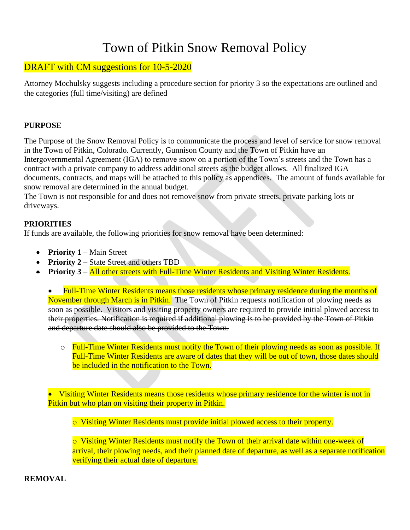# Town of Pitkin Snow Removal Policy

# DRAFT with CM suggestions for 10-5-2020

Attorney Mochulsky suggests including a procedure section for priority 3 so the expectations are outlined and the categories (full time/visiting) are defined

#### **PURPOSE**

The Purpose of the Snow Removal Policy is to communicate the process and level of service for snow removal in the Town of Pitkin, Colorado. Currently, Gunnison County and the Town of Pitkin have an Intergovernmental Agreement (IGA) to remove snow on a portion of the Town's streets and the Town has a contract with a private company to address additional streets as the budget allows. All finalized IGA documents, contracts, and maps will be attached to this policy as appendices. The amount of funds available for snow removal are determined in the annual budget.

The Town is not responsible for and does not remove snow from private streets, private parking lots or driveways.

### **PRIORITIES**

If funds are available, the following priorities for snow removal have been determined:

- **Priority 1** Main Street
- **Priority 2** State Street and others TBD
- **Priority 3** All other streets with Full-Time Winter Residents and Visiting Winter Residents.

• Full-Time Winter Residents means those residents whose primary residence during the months of November through March is in Pitkin. The Town of Pitkin requests notification of plowing needs as soon as possible. Visitors and visiting property owners are required to provide initial plowed access to their properties. Notification is required if additional plowing is to be provided by the Town of Pitkin and departure date should also be provided to the Town.

o Full-Time Winter Residents must notify the Town of their plowing needs as soon as possible. If Full-Time Winter Residents are aware of dates that they will be out of town, those dates should be included in the notification to the Town.

• Visiting Winter Residents means those residents whose primary residence for the winter is not in Pitkin but who plan on visiting their property in Pitkin.

o Visiting Winter Residents must provide initial plowed access to their property.

o Visiting Winter Residents must notify the Town of their arrival date within one-week of arrival, their plowing needs, and their planned date of departure, as well as a separate notification verifying their actual date of departure.

**REMOVAL**